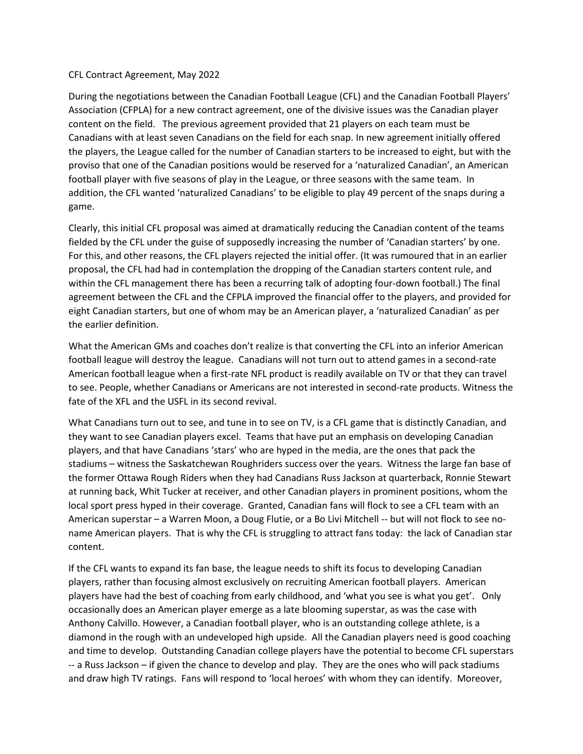## CFL Contract Agreement, May 2022

During the negotiations between the Canadian Football League (CFL) and the Canadian Football Players' Association (CFPLA) for a new contract agreement, one of the divisive issues was the Canadian player content on the field. The previous agreement provided that 21 players on each team must be Canadians with at least seven Canadians on the field for each snap. In new agreement initially offered the players, the League called for the number of Canadian starters to be increased to eight, but with the proviso that one of the Canadian positions would be reserved for a 'naturalized Canadian', an American football player with five seasons of play in the League, or three seasons with the same team. In addition, the CFL wanted 'naturalized Canadians' to be eligible to play 49 percent of the snaps during a game.

Clearly, this initial CFL proposal was aimed at dramatically reducing the Canadian content of the teams fielded by the CFL under the guise of supposedly increasing the number of 'Canadian starters' by one. For this, and other reasons, the CFL players rejected the initial offer. (It was rumoured that in an earlier proposal, the CFL had had in contemplation the dropping of the Canadian starters content rule, and within the CFL management there has been a recurring talk of adopting four-down football.) The final agreement between the CFL and the CFPLA improved the financial offer to the players, and provided for eight Canadian starters, but one of whom may be an American player, a 'naturalized Canadian' as per the earlier definition.

What the American GMs and coaches don't realize is that converting the CFL into an inferior American football league will destroy the league. Canadians will not turn out to attend games in a second-rate American football league when a first-rate NFL product is readily available on TV or that they can travel to see. People, whether Canadians or Americans are not interested in second-rate products. Witness the fate of the XFL and the USFL in its second revival.

What Canadians turn out to see, and tune in to see on TV, is a CFL game that is distinctly Canadian, and they want to see Canadian players excel. Teams that have put an emphasis on developing Canadian players, and that have Canadians 'stars' who are hyped in the media, are the ones that pack the stadiums – witness the Saskatchewan Roughriders success over the years. Witness the large fan base of the former Ottawa Rough Riders when they had Canadians Russ Jackson at quarterback, Ronnie Stewart at running back, Whit Tucker at receiver, and other Canadian players in prominent positions, whom the local sport press hyped in their coverage. Granted, Canadian fans will flock to see a CFL team with an American superstar – a Warren Moon, a Doug Flutie, or a Bo Livi Mitchell -- but will not flock to see noname American players. That is why the CFL is struggling to attract fans today: the lack of Canadian star content.

If the CFL wants to expand its fan base, the league needs to shift its focus to developing Canadian players, rather than focusing almost exclusively on recruiting American football players. American players have had the best of coaching from early childhood, and 'what you see is what you get'. Only occasionally does an American player emerge as a late blooming superstar, as was the case with Anthony Calvillo. However, a Canadian football player, who is an outstanding college athlete, is a diamond in the rough with an undeveloped high upside. All the Canadian players need is good coaching and time to develop. Outstanding Canadian college players have the potential to become CFL superstars -- a Russ Jackson – if given the chance to develop and play. They are the ones who will pack stadiums and draw high TV ratings. Fans will respond to 'local heroes' with whom they can identify. Moreover,